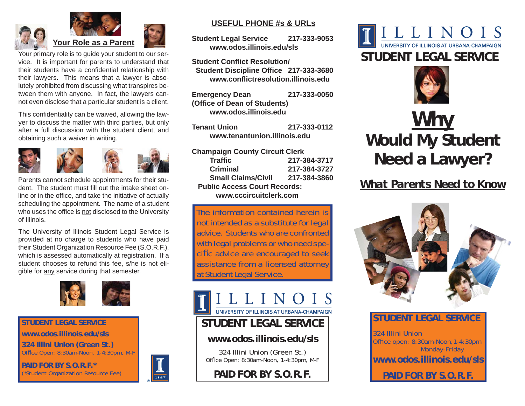



Your primary role is to guide your student to our service. It is important for parents to understand that their students have a confidential relationship with their lawyers. This means that a lawyer is absolutely prohibited from discussing what transpires between them with anyone. In fact, the lawyers cannot even disclose that a particular student is a client.

This confidentiality can be waived, allowing the lawyer to discuss the matter with third parties, but only after a full discussion with the student client, and obtaining such a waiver in writing.



Parents cannot schedule appointments for their student. The student must fill out the intake sheet online or in the office, and take the initiative of actually scheduling the appointment. The name of a student who uses the office is not disclosed to the University of Illinois.

The University of Illinois Student Legal Service is provided at no charge to students who have paid their Student Organization Resource Fee (S.O.R.F.), which is assessed automatically at registration. If a student chooses to refund this fee, s/he is not eligible for any service during that semester.



**STUDENT LEGAL SERVICE**

**www.odos.illinois.edu/sls**

**324 Illini Union (Green St.)** Office Open: 8:30am-Noon, 1-4:30pm, M-F

**PAID FOR BY S.O.R.F.\*** (\*Student Organization Resource Fee)



#### **USEFUL PHONE #s & URLs**

**Student Legal Service 217-333-9053 www.odos.illinois.edu/sls**

**Student Conflict Resolution/ Student Discipline Office 217-333-3680 www.confl ictresolution.illinois.edu**

**Emergency Dean 217-333-0050 (Offi ce of Dean of Students) www.odos.illinois.edu**

**Tenant Union 217-333-0112 www.tenantunion.illinois.edu**

**Champaign County Circuit Clerk Traffi c 217-384-3717 Criminal 217-384-3727 Small Claims/Civil 217-384-3860 Public Access Court Records: www.cccircuitclerk.com**

The information contained herein is not intended as a substitute for legal advice. Students who are confronted with legal problems or who need specific advice are encouraged to seek assistance from a licensed attorney at Student Legal Service.

UNIVERSITY OF ILLINOIS AT URBANA-CHAMPAIGN

# **STUDENT LEGAL SERVICE**

### **www.odos.illinois.edu/sls**

324 Illini Union (Green St.) Office Open: 8:30am-Noon, 1-4:30pm, M-F

**PAID FOR BY S.O.R.F.** 





# *Why* **Would My Student Need a Lawyer?**

# *What Parents Need to Know*



# **STUDENT LEGAL SERVICE**

324 Illini UnionOffice open: 8:30am-Noon, 1-4:30pm Monday-Friday **www.odos.illinois.edu/sls**

**PAID FOR BY S.O.R.F.**